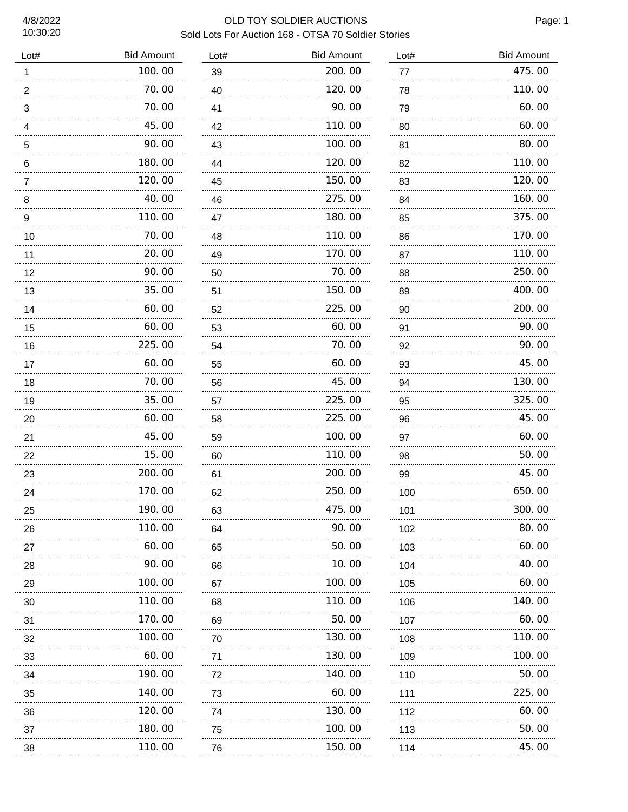### 4/8/2022 OLD TOY SOLDIER AUCTIONS Sold Lots For Auction 168 - OTSA 70 Soldier Stories

| Lot#           | <b>Bid Amount</b> | Lot#    | <b>Bid Amount</b> | Lot#     | <b>Bid Amount</b> |
|----------------|-------------------|---------|-------------------|----------|-------------------|
| 1              | 100.00            | 39      | 200.00            | 77       | 475.00            |
| 2              | 70.00             | 40      | 120.00            | 78       | 110.00            |
| 3              | 70.00             | 41      | 90.00             | 79       | 60.00             |
| $\overline{4}$ | 45.00             | 42      | 110.00            | 80       | 60.00             |
| 5              | .<br>90.00        | 43      | .<br>100.00       | 81       | 80.00             |
| 6              | 180.00            | 44      | 120.00            | 82       | 110.00            |
| 7              | 120.00<br>.       | 45      | 150.00            | 83       | 120.00            |
| 8              | 40.00<br>.        | 46      | 275.00<br>.       | 84       | 160.00            |
| 9              | 110.00            | 47      | 180.00            | 85       | 375.00            |
| 10             | 70.00             | 48      | 110.00            | 86       | 170.00            |
| 11             | 20.00<br>.        | 49      | 170.00            | 87       | 110.00            |
| 12             | 90.00<br>.        | 50      | 70.00<br>.        | 88       | 250.00            |
| 13             | 35.00             | 51      | 150.00            | 89       | 400.00            |
| 14             | 60.00<br>.        | 52      | 225.00            | 90       | 200.00            |
| 15             | 60.00             | 53      | 60.00             | 91       | 90.00             |
| 16             | 225.00            | 54      | 70.00             | 92       | 90.00             |
| 17             | 60.00             | 55      | 60.00             | 93       | 45.00             |
| 18             | 70.00             | 56      | 45.00             | 94       | 130.00            |
| 19             | 35.00             | 57      | 225.00            | 95       | 325.00            |
| 20             | 60.00             | 58      | 225.00            | 96       | 45.00             |
| 21             | 45.00             | 59      | 100.00            | 97       | 60.00             |
| 22             | 15.00             | 60      | 110.00            | 98<br>.  | 50.00             |
| 23             | 200.00            | 61      | 200.00            | 99       | 45.00             |
| 24             | 170.00            | 62      | 250.00            | 100      | 650.00            |
| 25             | 190.00            | 63      | 475.00            | 101      | 300.00            |
| 26             | 110.00            | 64      | 90.00             | 102      | 80.00             |
| 27             | 60.00             | 65<br>. | 50.00             | 103<br>. | 60.00             |
| 28             | 90.00             | 66      | 10.00             | 104      | 40.00             |
| 29             | 100.00            | 67      | 100. 00           | 105<br>. | 60.00             |
| 30             | 110.00            | 68      | 110.00            | 106<br>. | 140.00            |
| 31             | 170.00            | 69      | 50.00             | 107<br>. | 60.00             |
| 32             | 100.00            | 70      | 130.00            | 108<br>. | 110.00            |
| 33             | 60.00             | 71      | 130.00            | 109      | 100.00            |
| 34             | 190.00            | 72      | 140.00            | .<br>110 | 50.00             |
| 35             | .<br>140.00       | 73      | .<br>60.00        | 111      | 225.00            |
| 36             | .<br>120.00       | 74      | 130.00            | .<br>112 | 60.00             |
| 37             | .<br>180.00       | 75      | 100.00            | 113      | 50.00             |
| 38             | 110.00            | 76      | 150.00            | 114      | 45.00             |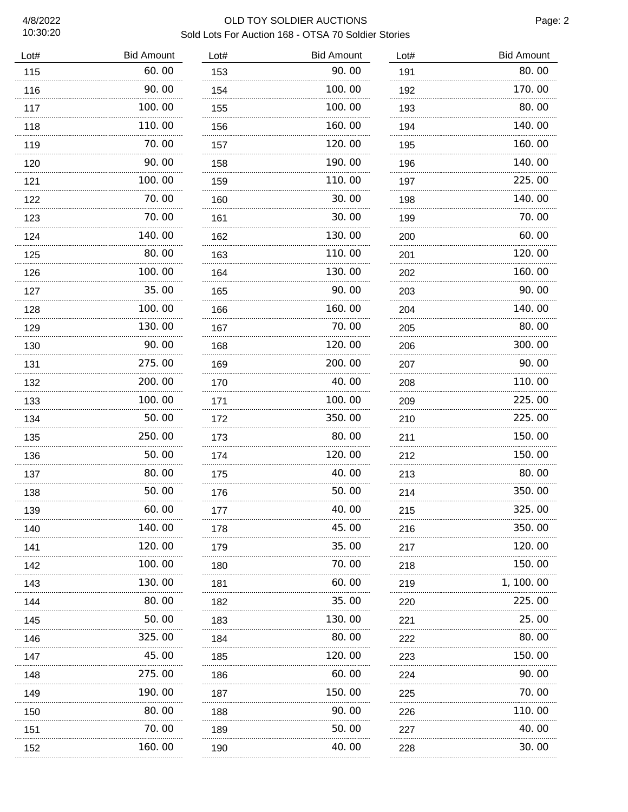# 4/8/2022 OLD TOY SOLDIER AUCTIONS Sold Lots For Auction 168 - OTSA 70 Soldier Stories

| Lot# | <b>Bid Amount</b> | Lot# | <b>Bid Amount</b> | Lot# | <b>Bid Amount</b> |
|------|-------------------|------|-------------------|------|-------------------|
| 115  | 60.00             | 153  | 90.00             | 191  | 80.00             |
| 116  | 90.00             | 154  | 100.00            | 192  | 170.00            |
| 117  | 100.00            | 155  | 100.00            | 193  | 80.00             |
| 118  | 110.00            | 156  | 160.00            | 194  | 140.00            |
| 119  | 70.00             | 157  | 120,00            | 195  | 160.00            |
| 120  | 90.00             | 158  | 190.00            | 196  | 140.00            |
| 121  | 100.00            | 159  | 110.00            | 197  | 225.00            |
| 122  | 70.00             | 160  | 30.00             | 198  | 140.00            |
| 123  | 70.00<br>.        | 161  | 30.00             | 199  | 70.00             |
| 124  | 140.00<br>.       | 162  | 130.00<br>.       | 200  | 60.00             |
| 125  | 80.00<br>.        | 163  | 110.00            | 201  | 120.00            |
| 126  | 100.00<br>.       | 164  | 130.00<br>.       | 202  | 160.00            |
| 127  | 35.00<br>.        | 165  | 90.00<br>.        | 203  | 90.00             |
| 128  | 100.00<br>.       | 166  | 160.00<br>.       | 204  | 140.00            |
| 129  | 130.00<br>.       | 167  | 70.00<br>.        | 205  | 80.00             |
| 130  | 90.00<br>.        | 168  | 120.00<br>.       | 206  | 300.00            |
| 131  | 275.00<br>.       | 169  | 200.00<br>.       | 207  | 90.00             |
| 132  | 200.00<br>.       | 170  | 40.00<br>.        | 208  | 110.00            |
| 133  | 100.00            | 171  | 100.00            | 209  | 225.00            |
| 134  | 50.00<br>.        | 172  | 350.00            | 210  | 225.00            |
| 135  | 250.00            | 173  | 80.00             | 211  | 150.00            |
| 136  | 50.00             | 174  | 120.00            | 212  | 150.00            |
| 137  | 80.00             | 175  | 40.00             | 213  | 80.00             |
| 138  | 50.00             | 176  | 50.00             | 214  | 350.00            |
| 139  | 60.00             | 177  | 40.00             | 215  | 325.00            |
| 140  | 140.00            | 178  | 45.00             | 216  | 350.00            |
| 141  | 120.00            | 179  | 35.00             | 217  | 120.00            |
| 142  | 100.00            | 180  | 70.00             | 218  | 150.00            |
| 143  | 130.00            | 181  | 60.00             | 219  | 1, 100.00         |
| 144  | 80.00<br>.        | 182  | 35.00<br>.        | 220  | 225.00            |
| 145  | 50.00             | 183  | 130. 00<br>.      | 221  | 25.00             |
| 146  | 325.00            | 184  | 80.00<br>         | 222  | 80.00             |
| 147  | 45.00             | 185  | 120.00            | 223  | 150.00            |
| 148  | 275.00            | 186  | 60.00             | 224  | 90.00             |
| 149  | 190.00            | 187  | 150.00            | 225  | 70.00             |
| 150  | 80.00             | 188  | 90.00             | 226  | 110.00            |
| 151  | 70.00             | 189  | 50.00             | 227  | 40.00             |
| 152  | 160.00            | 190  | 40.00             | 228  | 30.00             |
|      |                   |      |                   |      |                   |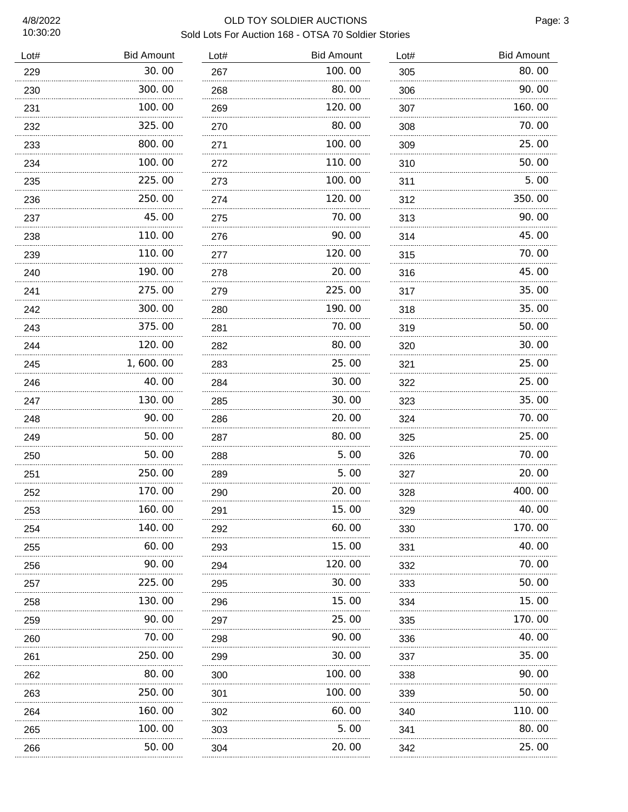# 4/8/2022 OLD TOY SOLDIER AUCTIONS Sold Lots For Auction 168 - OTSA 70 Soldier Stories

| Lot# | <b>Bid Amount</b> | Lot#     | <b>Bid Amount</b> | Lot# | <b>Bid Amount</b> |
|------|-------------------|----------|-------------------|------|-------------------|
| 229  | 30.00             | 267      | 100.00            | 305  | 80.00             |
| 230  | 300.00            | 268      | 80.00             | 306  | 90.00             |
| 231  | 100.00            | 269      | 120.00            | 307  | 160.00            |
| 232  | 325.00            | 270      | 80.00             | 308  | 70.00             |
| 233  | 800.00            | 271<br>. | 100.00            | 309  | 25.00             |
| 234  | 100.00            | 272      | 110.00            | 310  | 50.00             |
| 235  | 225.00            | 273      | 100.00            | 311  | 5.00              |
| 236  | 250.00            | 274      | 120.00            | 312  | 350.00            |
| 237  | 45.00             | 275      | 70.00             | 313  | 90.00             |
| 238  | 110.00            | 276      | 90.00             | 314  | 45.00             |
| 239  | 110.00            | 277      | 120.00            | 315  | 70.00             |
| 240  | 190.00            | 278      | 20.00             | 316  | 45.00             |
| 241  | 275.00            | 279      | 225.00            | 317  | 35.00             |
| 242  | 300.00            | 280      | 190.00            | 318  | 35.00             |
| 243  | 375.00            | 281      | 70.00             | 319  | 50.00             |
| 244  | 120.00            | 282      | 80.00             | 320  | 30.00             |
| 245  | 1, 600. 00        | 283      | 25.00             | 321  | 25.00             |
| 246  | 40.00             | 284      | 30.00             | 322  | 25.00             |
| 247  | 130.00            | 285      | 30.00             | 323  | 35.00             |
| 248  | 90.00             | 286      | 20.00             | 324  | 70.00             |
| 249  | 50.00             | 287      | 80.00             | 325  | 25.00             |
| 250  | 50.00             | 288      | 5.00              | 326  | 70.00             |
| 251  | 250.00            | 289      | 5.00              | 327  | 20.00             |
| 252  | 170.00            | 290      | 20.00             | 328  | 400.00            |
| 253  | 160.00            | 291      | 15.00             | 329  | 40.00             |
| 254  | 140.00            | 292      | 60.00             | 330  | 170.00            |
| 255  | 60.00             | 293      | 15.00<br>.        | 331  | 40.00             |
| 256  | 90.00             | 294      | 120.00            | 332  | 70.00             |
| 257  | 225.00<br>.       | 295      | 30.00<br>.        | 333  | 50.00             |
| 258  | 130.00            | 296      | 15.00             | 334  | 15.00             |
| 259  | 90.00<br>.        | 297      | 25.00<br>.        | 335  | 170. 00           |
| 260  | 70.00             | 298      | 90.00             | 336  | 40.00             |
| 261  | 250.00            | 299      | 30.00             | 337  | 35.00             |
| 262  | 80.00             | 300      | 100.00            | 338  | 90.00             |
| 263  | 250.00            | 301      | 100. 00           | 339  | 50.00             |
| 264  | 160.00            | 302      | 60.00             | 340  | 110.00            |
| 265  | 100.00            | 303      | 5.00              | 341  | 80.00             |
| 266  | 50.00             | 304      | 20.00             | 342  | 25.00             |
|      |                   |          |                   |      |                   |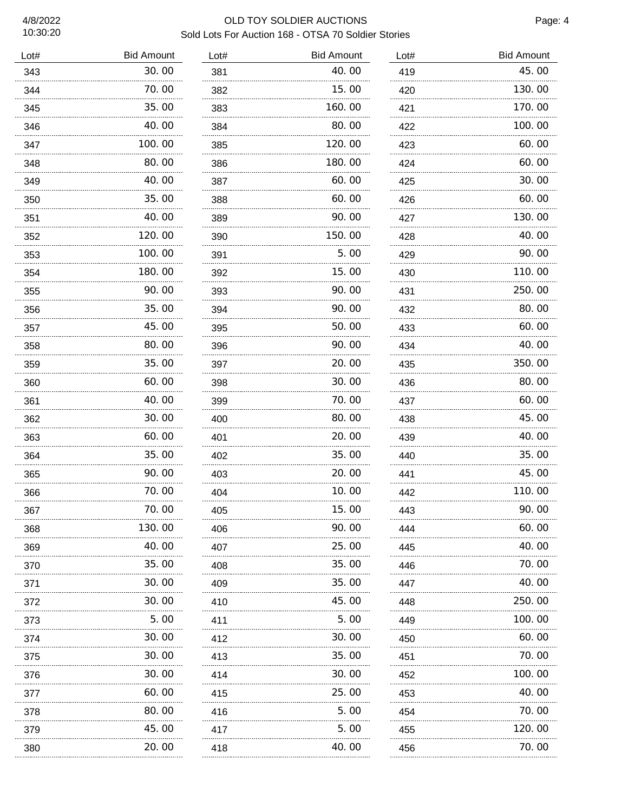## 4/8/2022 OLD TOY SOLDIER AUCTIONS Sold Lots For Auction 168 - OTSA 70 Soldier Stories

| Lot# | <b>Bid Amount</b> | Lot#     | <b>Bid Amount</b> | Lot#     | <b>Bid Amount</b> |
|------|-------------------|----------|-------------------|----------|-------------------|
| 343  | 30.00             | 381      | 40.00             | 419      | 45.00             |
| 344  | 70.00             | 382      | 15.00             | 420      | 130.00            |
| 345  | 35.00             | 383      | 160.00            | 421      | 170.00            |
| 346  | 40.00             | 384      | 80.00             | 422      | 100.00            |
| 347  | 100.00            | 385      | 120.00            | 423      | 60.00             |
| 348  | 80.00             | 386      | 180.00            | 424      | 60.00             |
| 349  | 40.00             | 387      | 60.00             | 425      | 30.00             |
| 350  | 35.00             | 388      | 60.00             | 426      | 60.00             |
| 351  | 40.00             | 389      | 90.00             | 427      | 130.00            |
| 352  | 120.00            | 390      | 150.00            | 428      | 40.00             |
| 353  | 100.00            | 391      | 5.00              | 429      | 90.00             |
| 354  | 180.00            | 392      | 15.00             | 430      | 110.00            |
| 355  | 90.00             | 393      | 90.00             | 431      | 250.00            |
| 356  | 35.00<br>.        | 394      | 90.00<br>.        | 432      | 80.00             |
| 357  | 45.00             | 395      | 50.00             | 433      | 60.00             |
| 358  | 80.00<br>.        | 396      | 90.00             | 434      | 40.00             |
| 359  | 35.00             | 397      | 20.00             | 435      | 350.00            |
| 360  | 60.00             | 398      | 30.00             | 436      | 80.00             |
| 361  | 40.00             | 399      | 70.00             | 437      | 60.00             |
| 362  | 30.00             | 400      | 80.00             | 438      | 45.00             |
| 363  | 60.00             | 401      | 20.00             | 439      | 40.00             |
| 364  | 35.00             | 402      | 35.00             | 440      | 35.00             |
| 365  | 90.00             | 403      | 20.00             | 441      | 45.00             |
| 366  | 70.00             | 404      | 10.00             | 442      | 110.00            |
| 367  | 70.00             | 405      | 15.00             | 443      | 90.00             |
| 368  | 130. 00           | 406      | 90.00             | 444      | 60.00             |
| 369  | 40.00             | 407      | 25.00             | 445      | 40.00             |
| 370  | 35.00             | 408<br>. | 35.00             | 446      | 70.00             |
| 371  | 30.00             | 409<br>. | 35. OO<br>.       | 447      | 40.00             |
| 372  | 30.00             | 410      | 45.00             | 448      | 250.00            |
| 373  | 5.00              | 411      | 5.00              | 449      | 100.00            |
| 374  | 30.00             | 412      | 30.00             | 450      | 60.00             |
| 375  | 30.00             | 413      | 35.00             | 451      | 70.00             |
| 376  | 30.00             | 414      | 30.00             | 452      | 100.00            |
| 377  | 60.00             | 415      | 25.00             | 453      | 40.00             |
| 378  | 80.00<br>.        | 416      | 5.00<br>.         | 454      | 70.00             |
| 379  | 45.00             | 417<br>  | 5.00              | 455<br>. | 120.00            |
| 380  | 20.00             | 418      | 40.00             | 456      | 70.00             |
|      |                   |          |                   |          |                   |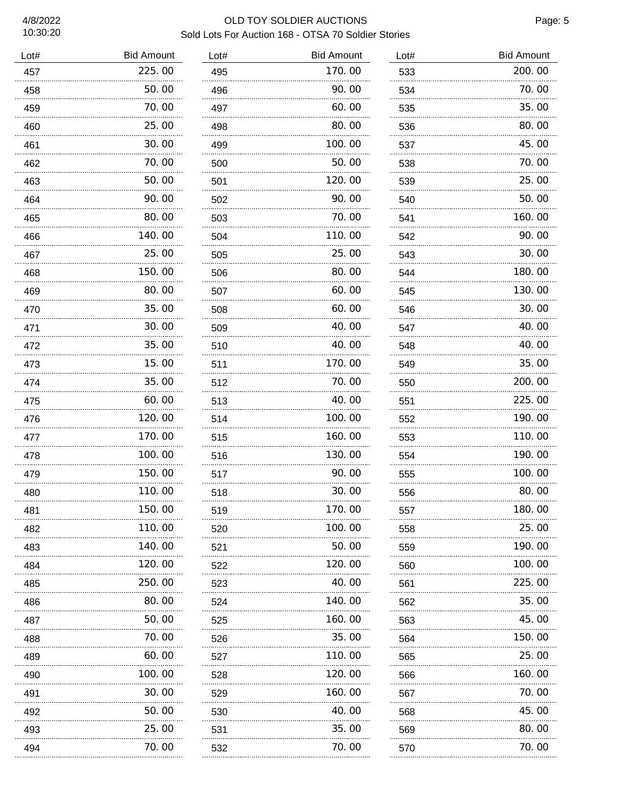### 4/8/2022 OLD TOY SOLDIER AUCTIONS Sold Lots For Auction 168 - OTSA 70 Soldier Stories

| Lot# | <b>Bid Amount</b> | Lot# | <b>Bid Amount</b> | Lot# | <b>Bid Amount</b> |
|------|-------------------|------|-------------------|------|-------------------|
| 457  | 225.00            | 495  | 170.00            | 533  | 200.00            |
| 458  | 50.00             | 496  | 90.00             | 534  | 70.00             |
| 459  | 70.00             | 497  | 60.00             | 535  | 35.00             |
| 460  | 25.00             | 498  | 80.00             | 536  | 80.00             |
| 461  | 30.00             | 499  | 100.00            | 537  | 45.00             |
| 462  | 70.00             | 500  | 50.00             | 538  | 70.00             |
| 463  | 50.00             | 501  | 120.00            | 539  | 25.00             |
| 464  | 90.00<br>.        | 502  | 90.00<br>.        | 540  | 50.00             |
| 465  | 80.00             | 503  | 70.00             | 541  | 160.00            |
| 466  | 140.00<br>.       | 504  | 110.00<br>.       | 542  | 90.00             |
| 467  | 25.00             | 505  | 25.00             | 543  | 30.00             |
| 468  | 150.00<br>.       | 506  | 80.00             | 544  | 180.00            |
| 469  | 80.00             | 507  | 60.00             | 545  | 130.00            |
| 470  | 35.00             | 508  | 60.00             | 546  | 30.00             |
| 471  | 30.00             | 509  | 40.00             | 547  | 40.00             |
| 472  | 35.00<br>.        | 510  | 40.00             | 548  | 40.00             |
| 473  | 15.00             | 511  | 170.00            | 549  | 35.00             |
| 474  | 35.00             | 512  | 70.00             | 550  | 200.00            |
| 475  | 60.00             | 513  | 40.00             | 551  | 225.00            |
| 476  | 120.00            | 514  | 100.00            | 552  | 190.00            |
| 477  | 170.00            | 515  | 160.00            | 553  | 110.00            |
| 478  | 100.00            | 516  | 130.00            | 554  | 190.00            |
| 479  | 150.00            | 517  | 90.00             | 555  | 100.00            |
| 480  | 110.00            | 518  | 30.00             | 556  | 80.00             |
| 481  | 150.00            | 519  | 170.00            | 557  | 180.00            |
| 482  | 110.00            | 520  | 100.00            | 558  | 25.00             |
| 483  | 140.00            | 521  | 50.00             | 559  | 190.00            |
| 484  | 120.00<br>.       | 522  | 120.00            | 560  | 100.00            |
| 485  | 250.00            | 523  | 40.00             | 561  | 225.00            |
| 486  | 80.00             | 524  | 140.00            | 562  | 35.00             |
| 487  | 50.00             | 525  | 160.00            | 563  | 45.00             |
| 488  | 70.00             | 526  | 35.00             | 564  | 150.00            |
| 489  | 60.00             | 527  | 110.00            | 565  | 25.00             |
| 490  | 100.00            | 528  | 120.00            | 566  | 160.00            |
| 491  | 30.00             | 529  | 160.00            | 567  | 70.00             |
| 492  | 50.00             | 530  | 40.00             | 568  | 45.00             |
| 493  | 25.00             | 531  | 35.00             | 569  | 80.00             |
| 494  | 70.00             | 532  | 70.00             | 570  | 70.00             |
|      |                   |      |                   |      |                   |